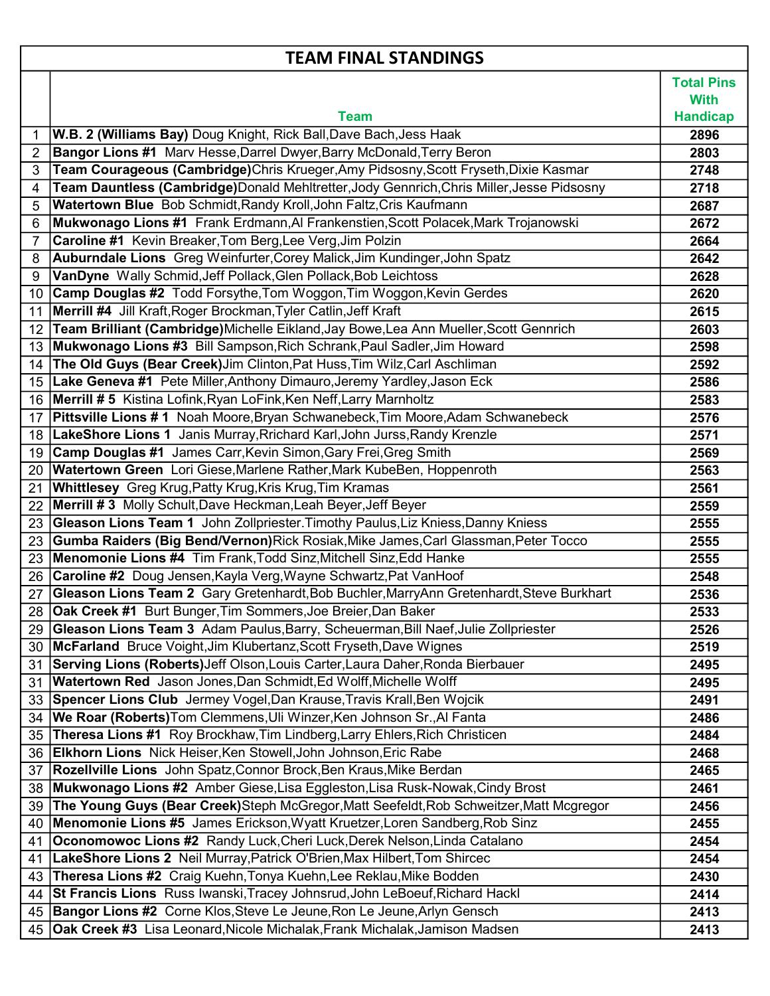## TEAM FINAL STANDINGS

 $\overline{\phantom{a}}$ 

 $\sqrt{ }$ 

|    |                                                                                           | <b>Total Pins</b>              |
|----|-------------------------------------------------------------------------------------------|--------------------------------|
|    | <b>Team</b>                                                                               | <b>With</b><br><b>Handicap</b> |
| 1  | W.B. 2 (Williams Bay) Doug Knight, Rick Ball, Dave Bach, Jess Haak                        | 2896                           |
| 2  | <b>Bangor Lions #1</b> Marv Hesse, Darrel Dwyer, Barry McDonald, Terry Beron              | 2803                           |
| 3  | Team Courageous (Cambridge)Chris Krueger, Amy Pidsosny, Scott Fryseth, Dixie Kasmar       | 2748                           |
| 4  | Team Dauntless (Cambridge)Donald Mehltretter, Jody Gennrich, Chris Miller, Jesse Pidsosny | 2718                           |
| 5  | Watertown Blue Bob Schmidt, Randy Kroll, John Faltz, Cris Kaufmann                        | 2687                           |
| 6  | Mukwonago Lions #1 Frank Erdmann, AI Frankenstien, Scott Polacek, Mark Trojanowski        | 2672                           |
| 7  | Caroline #1 Kevin Breaker, Tom Berg, Lee Verg, Jim Polzin                                 | 2664                           |
| 8  | Auburndale Lions Greg Weinfurter, Corey Malick, Jim Kundinger, John Spatz                 | 2642                           |
| 9  | VanDyne Wally Schmid, Jeff Pollack, Glen Pollack, Bob Leichtoss                           | 2628                           |
| 10 | Camp Douglas #2 Todd Forsythe, Tom Woggon, Tim Woggon, Kevin Gerdes                       | 2620                           |
| 11 | Merrill #4 Jill Kraft, Roger Brockman, Tyler Catlin, Jeff Kraft                           | 2615                           |
| 12 | Team Brilliant (Cambridge)Michelle Eikland, Jay Bowe, Lea Ann Mueller, Scott Gennrich     | 2603                           |
| 13 | Mukwonago Lions #3 Bill Sampson, Rich Schrank, Paul Sadler, Jim Howard                    | 2598                           |
| 14 | The Old Guys (Bear Creek) Jim Clinton, Pat Huss, Tim Wilz, Carl Aschliman                 | 2592                           |
| 15 | Lake Geneva #1 Pete Miller, Anthony Dimauro, Jeremy Yardley, Jason Eck                    | 2586                           |
| 16 | Merrill # 5 Kistina Lofink, Ryan LoFink, Ken Neff, Larry Marnholtz                        | 2583                           |
| 17 | Pittsville Lions #1 Noah Moore, Bryan Schwanebeck, Tim Moore, Adam Schwanebeck            | 2576                           |
|    | 18   LakeShore Lions 1 Janis Murray, Rrichard Karl, John Jurss, Randy Krenzle             | 2571                           |
|    | 19 Camp Douglas #1 James Carr, Kevin Simon, Gary Frei, Greg Smith                         | 2569                           |
| 20 | Watertown Green Lori Giese, Marlene Rather, Mark KubeBen, Hoppenroth                      | 2563                           |
| 21 | <b>Whittlesey</b> Greg Krug, Patty Krug, Kris Krug, Tim Kramas                            | 2561                           |
| 22 | <b>Merrill #3</b> Molly Schult, Dave Heckman, Leah Beyer, Jeff Beyer                      | 2559                           |
| 23 | Gleason Lions Team 1 John Zollpriester. Timothy Paulus, Liz Kniess, Danny Kniess          | 2555                           |
| 23 | Gumba Raiders (Big Bend/Vernon) Rick Rosiak, Mike James, Carl Glassman, Peter Tocco       | 2555                           |
| 23 | <b>Menomonie Lions #4</b> Tim Frank, Todd Sinz, Mitchell Sinz, Edd Hanke                  | 2555                           |
| 26 | <b>Caroline #2</b> Doug Jensen, Kayla Verg, Wayne Schwartz, Pat VanHoof                   | 2548                           |
| 27 | Gleason Lions Team 2 Gary Gretenhardt, Bob Buchler, MarryAnn Gretenhardt, Steve Burkhart  | 2536                           |
|    | 28 <b>Oak Creek #1</b> Burt Bunger, Tim Sommers, Joe Breier, Dan Baker                    | 2533                           |
| 29 | Gleason Lions Team 3 Adam Paulus, Barry, Scheuerman, Bill Naef, Julie Zollpriester        | 2526                           |
| 30 | McFarland Bruce Voight, Jim Klubertanz, Scott Fryseth, Dave Wignes                        | 2519                           |
| 31 | Serving Lions (Roberts) Jeff Olson, Louis Carter, Laura Daher, Ronda Bierbauer            | 2495                           |
| 31 | Watertown Red Jason Jones, Dan Schmidt, Ed Wolff, Michelle Wolff                          | 2495                           |
| 33 | Spencer Lions Club Jermey Vogel, Dan Krause, Travis Krall, Ben Wojcik                     | 2491                           |
| 34 | We Roar (Roberts) Tom Clemmens, Uli Winzer, Ken Johnson Sr., Al Fanta                     | 2486                           |
| 35 | Theresa Lions #1 Roy Brockhaw, Tim Lindberg, Larry Ehlers, Rich Christicen                | 2484                           |
| 36 | Elkhorn Lions Nick Heiser, Ken Stowell, John Johnson, Eric Rabe                           | 2468                           |
| 37 | Rozellville Lions John Spatz, Connor Brock, Ben Kraus, Mike Berdan                        | 2465                           |
| 38 | Mukwonago Lions #2 Amber Giese, Lisa Eggleston, Lisa Rusk-Nowak, Cindy Brost              | 2461                           |
| 39 | The Young Guys (Bear Creek)Steph McGregor, Matt Seefeldt, Rob Schweitzer, Matt Mcgregor   | 2456                           |
| 40 | Menomonie Lions #5 James Erickson, Wyatt Kruetzer, Loren Sandberg, Rob Sinz               | 2455                           |
| 41 | Oconomowoc Lions #2 Randy Luck, Cheri Luck, Derek Nelson, Linda Catalano                  | 2454                           |
| 41 | LakeShore Lions 2 Neil Murray, Patrick O'Brien, Max Hilbert, Tom Shircec                  | 2454                           |
| 43 | Theresa Lions #2 Craig Kuehn, Tonya Kuehn, Lee Reklau, Mike Bodden                        | 2430                           |
| 44 | St Francis Lions Russ Iwanski, Tracey Johnsrud, John LeBoeuf, Richard Hackl               | 2414                           |
| 45 | Bangor Lions #2 Corne Klos, Steve Le Jeune, Ron Le Jeune, Arlyn Gensch                    | 2413                           |
|    | 45 Oak Creek #3 Lisa Leonard, Nicole Michalak, Frank Michalak, Jamison Madsen             | 2413                           |